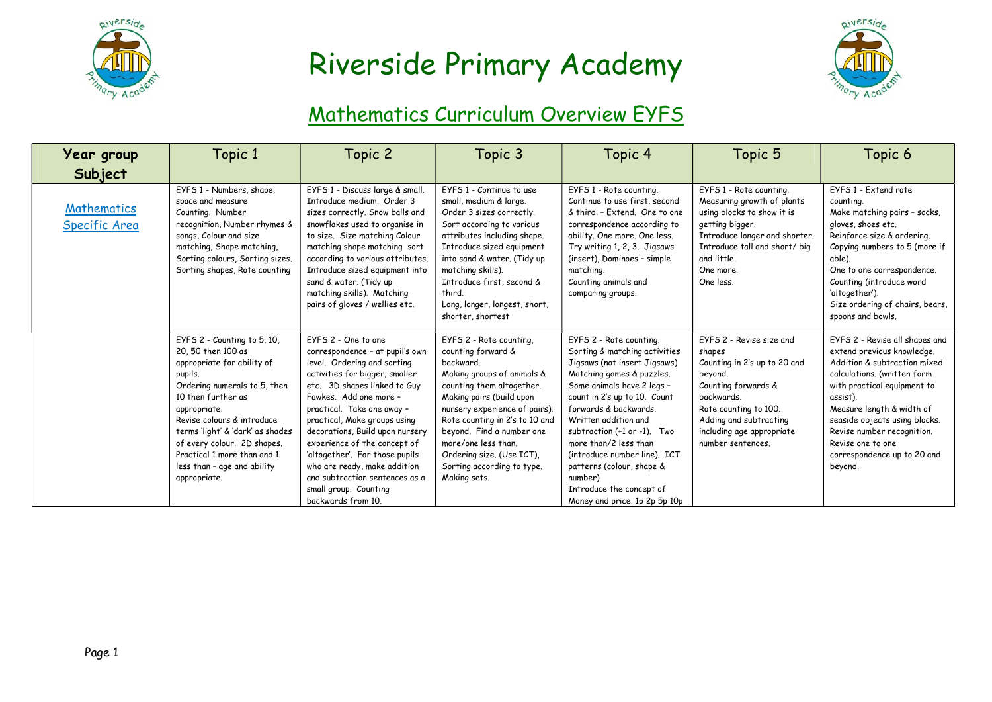



### Mathematics Curriculum Overview EYFS

| Year group<br>Subject               | Topic 1                                                                                                                                                                                                                                                                                                                                         | Topic 2                                                                                                                                                                                                                                                                                                                                                                                                                                                               | Topic 3                                                                                                                                                                                                                                                                                                                                             | Topic 4                                                                                                                                                                                                                                                                                                                                                                                                                           | Topic 5                                                                                                                                                                                                                 | Topic 6                                                                                                                                                                                                                                                                                                                           |
|-------------------------------------|-------------------------------------------------------------------------------------------------------------------------------------------------------------------------------------------------------------------------------------------------------------------------------------------------------------------------------------------------|-----------------------------------------------------------------------------------------------------------------------------------------------------------------------------------------------------------------------------------------------------------------------------------------------------------------------------------------------------------------------------------------------------------------------------------------------------------------------|-----------------------------------------------------------------------------------------------------------------------------------------------------------------------------------------------------------------------------------------------------------------------------------------------------------------------------------------------------|-----------------------------------------------------------------------------------------------------------------------------------------------------------------------------------------------------------------------------------------------------------------------------------------------------------------------------------------------------------------------------------------------------------------------------------|-------------------------------------------------------------------------------------------------------------------------------------------------------------------------------------------------------------------------|-----------------------------------------------------------------------------------------------------------------------------------------------------------------------------------------------------------------------------------------------------------------------------------------------------------------------------------|
| Mathematics<br><b>Specific Area</b> | EYFS 1 - Numbers, shape,<br>space and measure<br>Counting. Number<br>recognition, Number rhymes &<br>songs, Colour and size<br>matching, Shape matching,<br>Sorting colours, Sorting sizes.<br>Sorting shapes, Rote counting                                                                                                                    | EYFS 1 - Discuss large & small.<br>Introduce medium. Order 3<br>sizes correctly. Snow balls and<br>snowflakes used to organise in<br>to size. Size matching Colour<br>matching shape matching sort<br>according to various attributes.<br>Introduce sized equipment into<br>sand & water. (Tidy up<br>matching skills). Matching<br>pairs of gloves / wellies etc.                                                                                                    | FYFS 1 - Continue to use<br>small, medium & large.<br>Order 3 sizes correctly.<br>Sort according to various<br>attributes including shape.<br>Introduce sized equipment<br>into sand & water. (Tidy up<br>matching skills).<br>Introduce first, second &<br>third.<br>Long, longer, longest, short,<br>shorter, shortest                            | EYFS 1 - Rote counting.<br>Continue to use first, second<br>& third. - Extend. One to one<br>correspondence according to<br>ability. One more. One less.<br>Try writing 1, 2, 3. Jigsaws<br>(insert), Dominoes - simple<br>matching.<br>Counting animals and<br>comparing groups.                                                                                                                                                 | EYFS 1 - Rote counting.<br>Measuring growth of plants<br>using blocks to show it is<br>getting bigger.<br>Introduce longer and shorter.<br>Introduce tall and short/ big<br>and little.<br>One more.<br>One less.       | EYFS 1 - Extend rote<br>counting.<br>Make matching pairs - socks,<br>gloves, shoes etc.<br>Reinforce size & ordering.<br>Copying numbers to 5 (more if<br>able).<br>One to one correspondence.<br>Counting (introduce word<br>'altogether').<br>Size ordering of chairs, bears,<br>spoons and bowls.                              |
|                                     | EYFS 2 - Counting to 5, 10,<br>20, 50 then 100 as<br>appropriate for ability of<br>pupils.<br>Ordering numerals to 5, then<br>10 then further as<br>appropriate.<br>Revise colours & introduce<br>terms 'light' & 'dark' as shades<br>of every colour. 2D shapes.<br>Practical 1 more than and 1<br>less than - age and ability<br>appropriate. | EYFS 2 - One to one<br>correspondence - at pupil's own<br>level. Ordering and sorting<br>activities for bigger, smaller<br>etc. 3D shapes linked to Guy<br>Fawkes. Add one more -<br>practical. Take one away -<br>practical, Make groups using<br>decorations, Build upon nursery<br>experience of the concept of<br>'altogether'. For those pupils<br>who are ready, make addition<br>and subtraction sentences as a<br>small group. Counting<br>backwards from 10. | EYFS 2 - Rote counting,<br>counting forward &<br>backward.<br>Making groups of animals &<br>counting them altogether.<br>Making pairs (build upon<br>nursery experience of pairs).<br>Rote counting in 2's to 10 and<br>beyond. Find a number one<br>more/one less than.<br>Ordering size. (Use ICT),<br>Sorting according to type.<br>Making sets. | EYFS 2 - Rote counting.<br>Sorting & matching activities<br>Jigsaws (not insert Jigsaws)<br>Matching games & puzzles.<br>Some animals have 2 legs -<br>count in 2's up to 10. Count<br>forwards & backwards.<br>Written addition and<br>subtraction (+1 or -1). Two<br>more than/2 less than<br>(introduce number line). ICT<br>patterns (colour, shape &<br>number)<br>Introduce the concept of<br>Money and price. 1p 2p 5p 10p | EYFS 2 - Revise size and<br>shapes<br>Counting in 2's up to 20 and<br>beyond.<br>Counting forwards &<br>backwards.<br>Rote counting to 100.<br>Adding and subtracting<br>including age appropriate<br>number sentences. | EYFS 2 - Revise all shapes and<br>extend previous knowledge.<br>Addition & subtraction mixed<br>calculations. (written form<br>with practical equipment to<br>assist).<br>Measure length & width of<br>seaside objects using blocks.<br>Revise number recognition.<br>Revise one to one<br>correspondence up to 20 and<br>beyond. |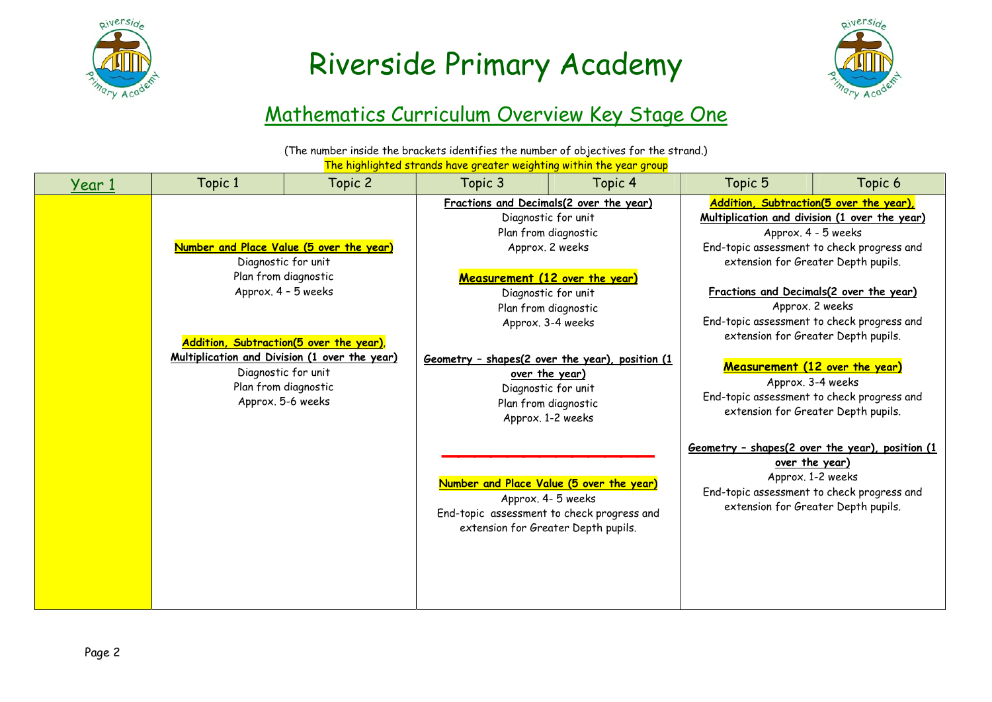



#### Mathematics Curriculum Overview Key Stage One

(The number inside the brackets identifies the number of objectives for the strand.)

The highlighted strands have greater weighting within the year group

| Year 1 | Topic 1                                                                                                                                                                                                                                                                        | Topic 2 | The highlighted STI and shave greater weighting within the year group<br>Topic 3                                                                                                                                                                                                                                                                         | Topic 4                                                                                                                                            | Topic 5                                                                                                                                                                                                                                                                                                                                                                                                                                                                                                    | Topic 6 |
|--------|--------------------------------------------------------------------------------------------------------------------------------------------------------------------------------------------------------------------------------------------------------------------------------|---------|----------------------------------------------------------------------------------------------------------------------------------------------------------------------------------------------------------------------------------------------------------------------------------------------------------------------------------------------------------|----------------------------------------------------------------------------------------------------------------------------------------------------|------------------------------------------------------------------------------------------------------------------------------------------------------------------------------------------------------------------------------------------------------------------------------------------------------------------------------------------------------------------------------------------------------------------------------------------------------------------------------------------------------------|---------|
|        | Number and Place Value (5 over the year)<br>Diagnostic for unit<br>Plan from diagnostic<br>Approx. 4 - 5 weeks<br>Addition, Subtraction(5 over the year),<br>Multiplication and Division (1 over the year)<br>Diagnostic for unit<br>Plan from diagnostic<br>Approx. 5-6 weeks |         | Fractions and Decimals(2 over the year)<br>Diagnostic for unit<br>Plan from diagnostic<br>Approx. 2 weeks<br>Measurement (12 over the year)<br>Diagnostic for unit<br>Plan from diagnostic<br>Approx. 3-4 weeks<br>Geometry - shapes(2 over the year), position (1<br>over the year)<br>Diagnostic for unit<br>Plan from diagnostic<br>Approx. 1-2 weeks |                                                                                                                                                    | Addition, Subtraction(5 over the year),<br>Multiplication and division (1 over the year)<br>Approx. 4 - 5 weeks<br>End-topic assessment to check progress and<br>extension for Greater Depth pupils.<br>Fractions and Decimals(2 over the year)<br>Approx. 2 weeks<br>End-topic assessment to check progress and<br>extension for Greater Depth pupils.<br><b>Measurement (12 over the year)</b><br>Approx. 3-4 weeks<br>End-topic assessment to check progress and<br>extension for Greater Depth pupils. |         |
|        |                                                                                                                                                                                                                                                                                |         |                                                                                                                                                                                                                                                                                                                                                          | Number and Place Value (5 over the year)<br>Approx. 4-5 weeks<br>End-topic assessment to check progress and<br>extension for Greater Depth pupils. | Geometry - shapes(2 over the year), position (1<br>over the year)<br>Approx. 1-2 weeks<br>End-topic assessment to check progress and<br>extension for Greater Depth pupils.                                                                                                                                                                                                                                                                                                                                |         |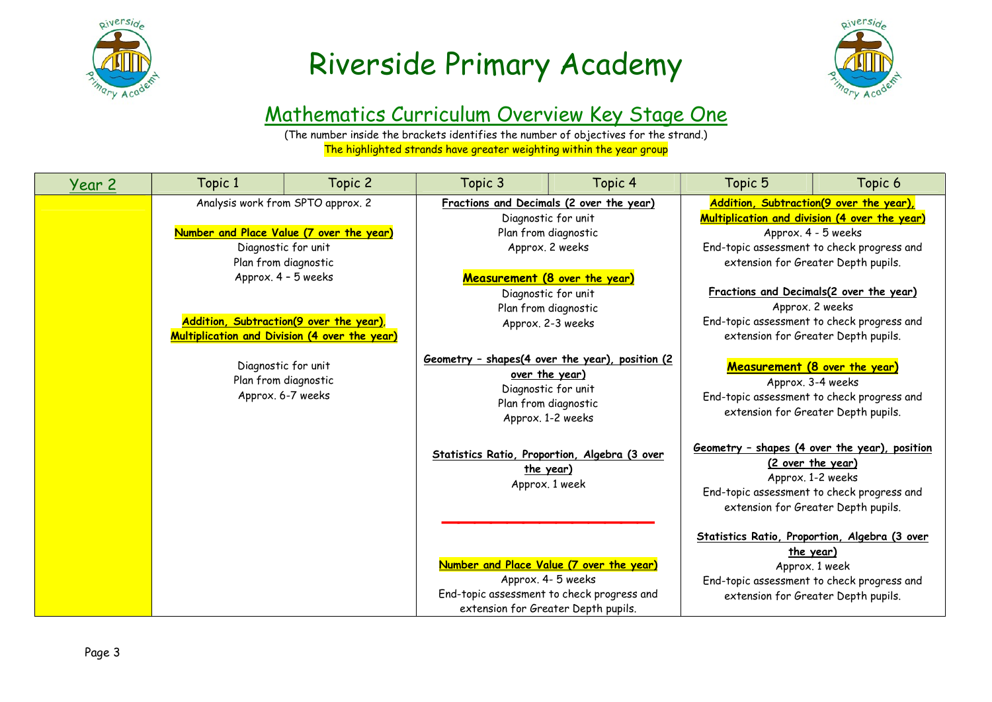



#### Mathematics Curriculum Overview Key Stage One

(The number inside the brackets identifies the number of objectives for the strand.) The highlighted strands have greater weighting within the year group

| Year 2 | Topic 1                                                                                                                                                                                                                                                                                                             | Topic 2 | Topic 3                                                                                                                                                                                                                | Topic 4                                                         | Topic 5                                                                                                                                                                                                                                                                                                          | Topic 6 |
|--------|---------------------------------------------------------------------------------------------------------------------------------------------------------------------------------------------------------------------------------------------------------------------------------------------------------------------|---------|------------------------------------------------------------------------------------------------------------------------------------------------------------------------------------------------------------------------|-----------------------------------------------------------------|------------------------------------------------------------------------------------------------------------------------------------------------------------------------------------------------------------------------------------------------------------------------------------------------------------------|---------|
|        | Analysis work from SPTO approx. 2<br>Number and Place Value (7 over the year)<br>Diagnostic for unit<br>Plan from diagnostic<br>Approx. 4 - 5 weeks<br>Addition, Subtraction(9 over the year),<br>Multiplication and Division (4 over the year)<br>Diagnostic for unit<br>Plan from diagnostic<br>Approx. 6-7 weeks |         | Fractions and Decimals (2 over the year)<br>Diagnostic for unit<br>Plan from diagnostic<br>Approx. 2 weeks<br><b>Measurement (8 over the year)</b><br>Diagnostic for unit<br>Plan from diagnostic<br>Approx. 2-3 weeks |                                                                 | Addition, Subtraction(9 over the year),<br>Multiplication and division (4 over the year)<br>Approx. 4 - 5 weeks<br>End-topic assessment to check progress and<br>extension for Greater Depth pupils.<br>Fractions and Decimals(2 over the year)<br>Approx. 2 weeks<br>End-topic assessment to check progress and |         |
|        |                                                                                                                                                                                                                                                                                                                     |         | Geometry - shapes(4 over the year), position (2<br>over the year)<br>Diagnostic for unit<br>Plan from diagnostic<br>Approx. 1-2 weeks<br>Statistics Ratio, Proportion, Algebra (3 over<br>the year)<br>Approx. 1 week  |                                                                 | extension for Greater Depth pupils.<br>Measurement (8 over the year)<br>Approx. 3-4 weeks<br>End-topic assessment to check progress and<br>extension for Greater Depth pupils.                                                                                                                                   |         |
|        |                                                                                                                                                                                                                                                                                                                     |         |                                                                                                                                                                                                                        |                                                                 | Geometry - shapes (4 over the year), position<br>(2 over the year)<br>Approx. 1-2 weeks<br>End-topic assessment to check progress and<br>extension for Greater Depth pupils.                                                                                                                                     |         |
|        |                                                                                                                                                                                                                                                                                                                     |         | Number and Place Value (7 over the year)<br>extension for Greater Depth pupils.                                                                                                                                        | Approx. 4-5 weeks<br>End-topic assessment to check progress and | Statistics Ratio, Proportion, Algebra (3 over<br>the year)<br>Approx. 1 week<br>End-topic assessment to check progress and<br>extension for Greater Depth pupils.                                                                                                                                                |         |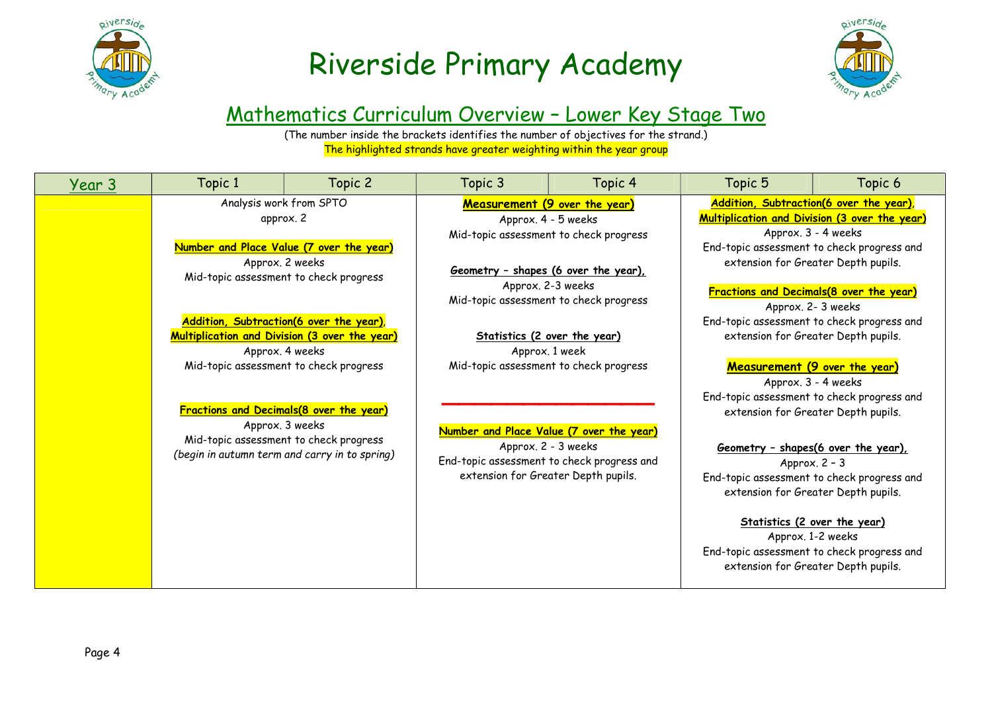



### Mathematics Curriculum Overview – Lower Key Stage Two

(The number inside the brackets identifies the number of objectives for the strand.) The highlighted strands have greater weighting within the year group

| Year 3 | Topic 1                                                                                                                                                                                                                                                                                                | Topic 2                                                                                                                                               | Topic 3                                                                                                                                                                                                                                                                                                  | Topic 4                                                                                                                                              | Topic 5                                                                                                                                                                                                                                                                                                                                                                                           | Topic 6                                                                                                                                                                                                                                                                                                                                                                                           |
|--------|--------------------------------------------------------------------------------------------------------------------------------------------------------------------------------------------------------------------------------------------------------------------------------------------------------|-------------------------------------------------------------------------------------------------------------------------------------------------------|----------------------------------------------------------------------------------------------------------------------------------------------------------------------------------------------------------------------------------------------------------------------------------------------------------|------------------------------------------------------------------------------------------------------------------------------------------------------|---------------------------------------------------------------------------------------------------------------------------------------------------------------------------------------------------------------------------------------------------------------------------------------------------------------------------------------------------------------------------------------------------|---------------------------------------------------------------------------------------------------------------------------------------------------------------------------------------------------------------------------------------------------------------------------------------------------------------------------------------------------------------------------------------------------|
|        | Analysis work from SPTO<br>approx. 2<br>Number and Place Value (7 over the year)<br>Approx. 2 weeks<br>Mid-topic assessment to check progress<br>Addition, Subtraction(6 over the year),<br>Multiplication and Division (3 over the year)<br>Approx. 4 weeks<br>Mid-topic assessment to check progress |                                                                                                                                                       | <b>Measurement (9 over the year)</b><br>Approx. 4 - 5 weeks<br>Mid-topic assessment to check progress<br>Geometry - shapes (6 over the year),<br>Approx. 2-3 weeks<br>Mid-topic assessment to check progress<br>Statistics (2 over the year)<br>Approx. 1 week<br>Mid-topic assessment to check progress |                                                                                                                                                      | Addition, Subtraction(6 over the year),<br>Multiplication and Division (3 over the year)<br>Approx. 3 - 4 weeks<br>End-topic assessment to check progress and<br>extension for Greater Depth pupils.<br>Fractions and Decimals(8 over the year)<br>Approx. 2-3 weeks<br>End-topic assessment to check progress and<br>extension for Greater Depth pupils.<br><b>Measurement (9 over the year)</b> |                                                                                                                                                                                                                                                                                                                                                                                                   |
|        |                                                                                                                                                                                                                                                                                                        | Fractions and Decimals(8 over the year)<br>Approx. 3 weeks<br>Mid-topic assessment to check progress<br>(begin in autumn term and carry in to spring) |                                                                                                                                                                                                                                                                                                          | Number and Place Value (7 over the year)<br>Approx. 2 - 3 weeks<br>End-topic assessment to check progress and<br>extension for Greater Depth pupils. |                                                                                                                                                                                                                                                                                                                                                                                                   | Approx. 3 - 4 weeks<br>End-topic assessment to check progress and<br>extension for Greater Depth pupils.<br>Geometry - shapes(6 over the year).<br>Approx. $2 - 3$<br>End-topic assessment to check progress and<br>extension for Greater Depth pupils.<br>Statistics (2 over the year)<br>Approx. 1-2 weeks<br>End-topic assessment to check progress and<br>extension for Greater Depth pupils. |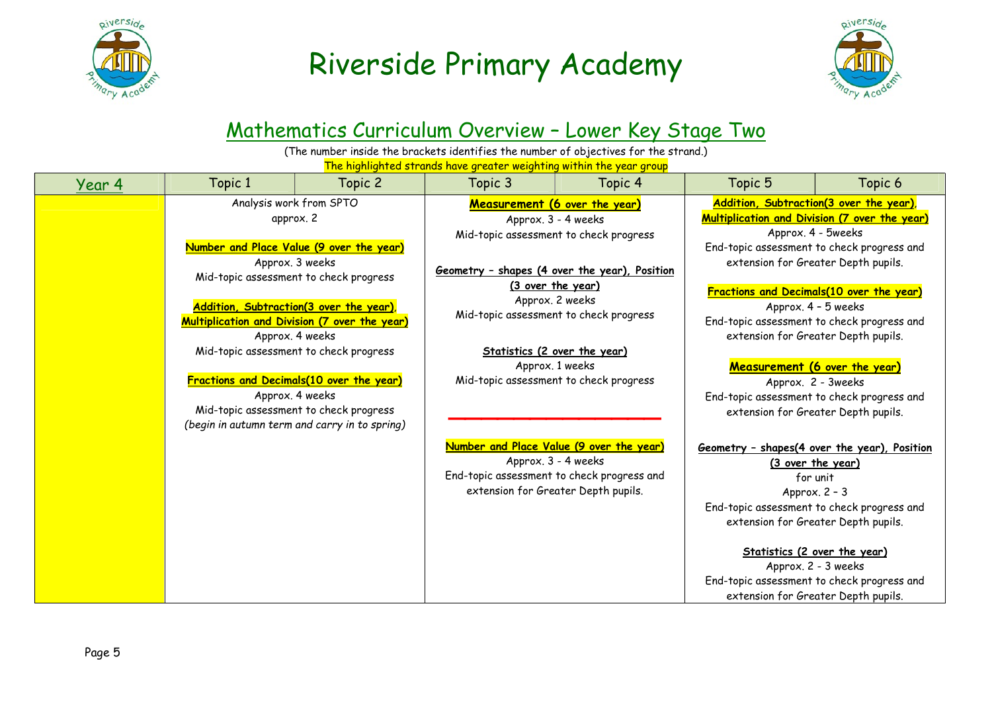



### Mathematics Curriculum Overview – Lower Key Stage Two

(The number inside the brackets identifies the number of objectives for the strand.)

|        |                                      |                                                                  | The highlighted strands have greater weighting within the year group |                                                                    |                                                                                   |                                                                                   |  |
|--------|--------------------------------------|------------------------------------------------------------------|----------------------------------------------------------------------|--------------------------------------------------------------------|-----------------------------------------------------------------------------------|-----------------------------------------------------------------------------------|--|
| Year 4 | Topic 1                              | Topic 2                                                          | Topic 3                                                              | Topic 4                                                            | Topic 5                                                                           | Topic 6                                                                           |  |
|        | Analysis work from SPTO<br>approx. 2 |                                                                  |                                                                      | Measurement (6 over the year)                                      |                                                                                   | Addition, Subtraction(3 over the year),                                           |  |
|        |                                      |                                                                  |                                                                      | Approx. 3 - 4 weeks<br>Mid-topic assessment to check progress      |                                                                                   | Multiplication and Division (7 over the year)<br>Approx. 4 - 5weeks               |  |
|        |                                      | Number and Place Value (9 over the year)<br>Approx. 3 weeks      |                                                                      | Geometry - shapes (4 over the year), Position<br>(3 over the year) |                                                                                   | End-topic assessment to check progress and<br>extension for Greater Depth pupils. |  |
|        |                                      | Mid-topic assessment to check progress                           |                                                                      |                                                                    |                                                                                   |                                                                                   |  |
|        |                                      | Addition, Subtraction(3 over the year),                          |                                                                      | Approx. 2 weeks                                                    |                                                                                   | Fractions and Decimals(10 over the year)<br>Approx. 4 - 5 weeks                   |  |
|        |                                      | Multiplication and Division (7 over the year)<br>Approx. 4 weeks | Mid-topic assessment to check progress                               |                                                                    | End-topic assessment to check progress and<br>extension for Greater Depth pupils. |                                                                                   |  |
|        |                                      | Mid-topic assessment to check progress                           |                                                                      | Statistics (2 over the year)                                       |                                                                                   |                                                                                   |  |
|        |                                      | Fractions and Decimals(10 over the year)                         |                                                                      | Approx. 1 weeks<br>Mid-topic assessment to check progress          |                                                                                   | Measurement (6 over the year)<br>Approx. 2 - 3weeks                               |  |
|        |                                      | Approx. 4 weeks<br>Mid-topic assessment to check progress        |                                                                      |                                                                    |                                                                                   | End-topic assessment to check progress and                                        |  |
|        |                                      | (begin in autumn term and carry in to spring)                    |                                                                      |                                                                    |                                                                                   | extension for Greater Depth pupils.                                               |  |
|        |                                      |                                                                  |                                                                      | Number and Place Value (9 over the year)                           |                                                                                   | Geometry - shapes(4 over the year), Position                                      |  |
|        |                                      |                                                                  |                                                                      | Approx. 3 - 4 weeks<br>End-topic assessment to check progress and  |                                                                                   | (3 over the year)<br>for unit                                                     |  |
|        |                                      |                                                                  |                                                                      | extension for Greater Depth pupils.                                |                                                                                   | Approx. $2 - 3$                                                                   |  |
|        |                                      |                                                                  |                                                                      |                                                                    |                                                                                   | End-topic assessment to check progress and<br>extension for Greater Depth pupils. |  |
|        |                                      |                                                                  |                                                                      |                                                                    |                                                                                   | Statistics (2 over the year)                                                      |  |
|        |                                      |                                                                  |                                                                      |                                                                    |                                                                                   | Approx. 2 - 3 weeks<br>End-topic assessment to check progress and                 |  |
|        |                                      |                                                                  |                                                                      |                                                                    |                                                                                   | extension for Greater Depth pupils.                                               |  |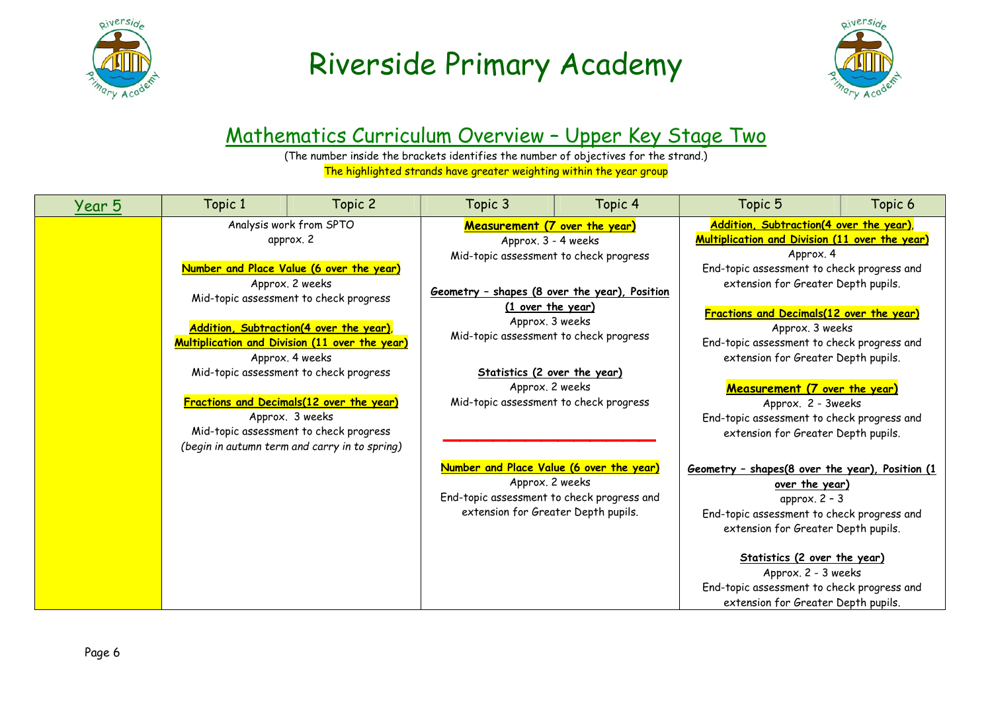



### Mathematics Curriculum Overview – Upper Key Stage Two

(The number inside the brackets identifies the number of objectives for the strand.) The highlighted strands have greater weighting within the year group

| Year 5 | Topic 1                                                                                                                                          | Topic 2                                                                                                                                                | Topic 3                                                                                                                                          | Topic 4 | Topic 5                                                                                                                                                                   | Topic 6 |  |
|--------|--------------------------------------------------------------------------------------------------------------------------------------------------|--------------------------------------------------------------------------------------------------------------------------------------------------------|--------------------------------------------------------------------------------------------------------------------------------------------------|---------|---------------------------------------------------------------------------------------------------------------------------------------------------------------------------|---------|--|
|        | Analysis work from SPTO<br>approx. 2                                                                                                             |                                                                                                                                                        | <b>Measurement (7 over the year)</b><br>Approx. 3 - 4 weeks                                                                                      |         | Addition, Subtraction(4 over the year),<br>Multiplication and Division (11 over the year)                                                                                 |         |  |
|        | Number and Place Value (6 over the year)<br>Approx. 2 weeks<br>Mid-topic assessment to check progress<br>Addition, Subtraction(4 over the year), |                                                                                                                                                        | Mid-topic assessment to check progress<br>Geometry - shapes (8 over the year), Position<br>(1 over the year)<br>Approx. 3 weeks                  |         | Approx. 4<br>End-topic assessment to check progress and<br>extension for Greater Depth pupils.<br>Fractions and Decimals(12 over the year)<br>Approx. 3 weeks             |         |  |
|        |                                                                                                                                                  | Multiplication and Division (11 over the year)<br>Approx. 4 weeks<br>Mid-topic assessment to check progress                                            | Mid-topic assessment to check progress<br>Statistics (2 over the year)<br>Approx. 2 weeks                                                        |         | End-topic assessment to check progress and<br>extension for Greater Depth pupils.<br>Measurement (7 over the year)                                                        |         |  |
|        |                                                                                                                                                  | Fractions and Decimals(12 over the year)<br>Approx. 3 weeks<br>Mid-topic assessment to check progress<br>(begin in autumn term and carry in to spring) | Mid-topic assessment to check progress                                                                                                           |         | Approx. 2 - 3weeks<br>End-topic assessment to check progress and<br>extension for Greater Depth pupils.                                                                   |         |  |
|        |                                                                                                                                                  |                                                                                                                                                        | Number and Place Value (6 over the year)<br>Approx. 2 weeks<br>End-topic assessment to check progress and<br>extension for Greater Depth pupils. |         | Geometry - shapes(8 over the year), Position (1<br>over the year)<br>approx. $2 - 3$<br>End-topic assessment to check progress and<br>extension for Greater Depth pupils. |         |  |
|        |                                                                                                                                                  |                                                                                                                                                        |                                                                                                                                                  |         | Statistics (2 over the year)<br>Approx. 2 - 3 weeks<br>End-topic assessment to check progress and<br>extension for Greater Depth pupils.                                  |         |  |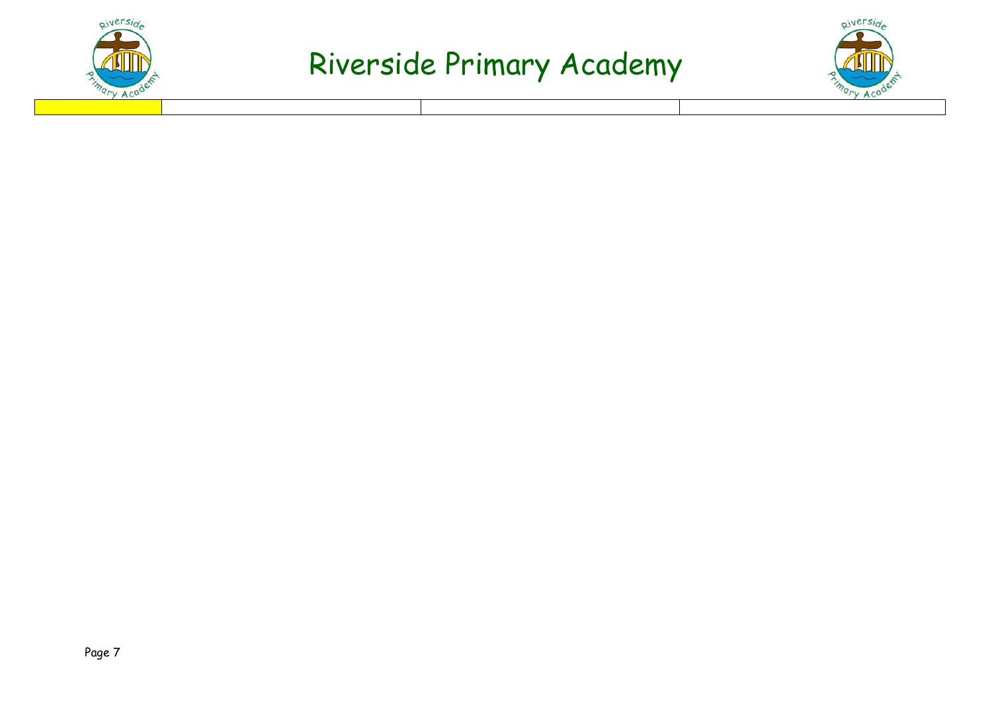

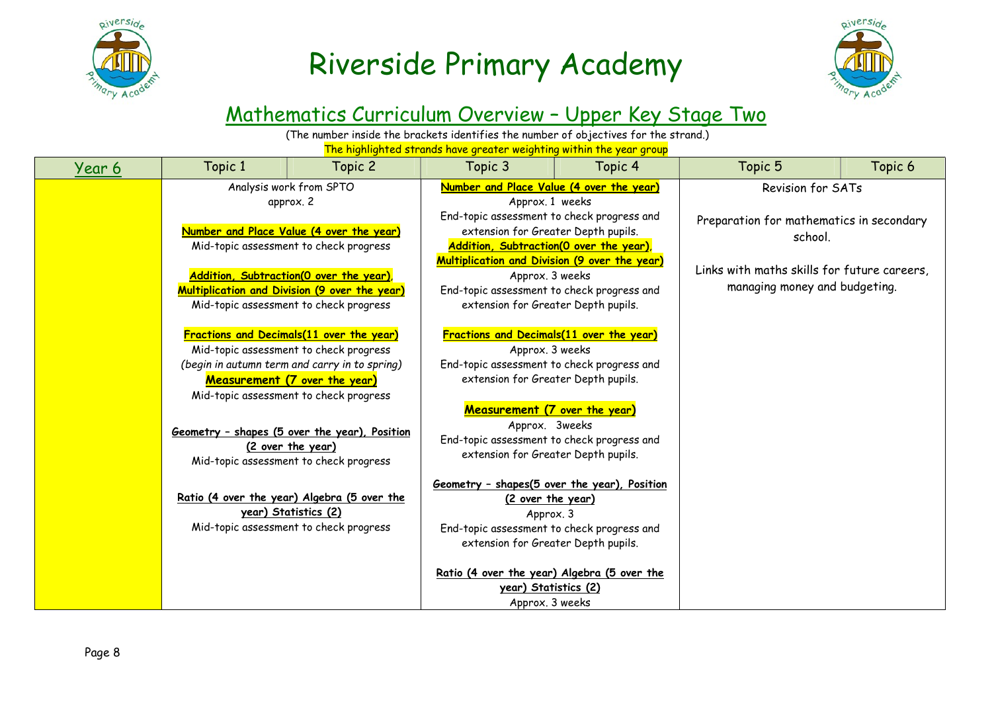



### Mathematics Curriculum Overview – Upper Key Stage Two

(The number inside the brackets identifies the number of objectives for the strand.)

The highlighted strands have greater weighting within the year group

| Year 6 | Topic 1                                                                                                                                                                                                                                                                                                                                                                                                                                                | Topic 2 | Topic 3                                                                                                                                                                                                                                                                                                  | Topic 4                                  | Topic 5                                                                                                                             | Topic 6           |
|--------|--------------------------------------------------------------------------------------------------------------------------------------------------------------------------------------------------------------------------------------------------------------------------------------------------------------------------------------------------------------------------------------------------------------------------------------------------------|---------|----------------------------------------------------------------------------------------------------------------------------------------------------------------------------------------------------------------------------------------------------------------------------------------------------------|------------------------------------------|-------------------------------------------------------------------------------------------------------------------------------------|-------------------|
|        | Analysis work from SPTO                                                                                                                                                                                                                                                                                                                                                                                                                                |         |                                                                                                                                                                                                                                                                                                          | Number and Place Value (4 over the year) |                                                                                                                                     | Revision for SATs |
|        | approx. 2<br>Number and Place Value (4 over the year)<br>Mid-topic assessment to check progress<br>Addition, Subtraction(O over the year),<br>Multiplication and Division (9 over the year)<br>Mid-topic assessment to check progress                                                                                                                                                                                                                  |         | Approx. 1 weeks<br>End-topic assessment to check progress and<br>extension for Greater Depth pupils.<br>Addition, Subtraction(0 over the year),<br>Multiplication and Division (9 over the year)<br>Approx. 3 weeks<br>End-topic assessment to check progress and<br>extension for Greater Depth pupils. |                                          | Preparation for mathematics in secondary<br>school.<br>Links with maths skills for future careers.<br>managing money and budgeting. |                   |
|        | Fractions and Decimals(11 over the year)<br>Mid-topic assessment to check progress<br>(begin in autumn term and carry in to spring)<br><b>Measurement (7 over the year)</b><br>Mid-topic assessment to check progress<br>Geometry - shapes (5 over the year), Position<br>(2 over the year)<br>Mid-topic assessment to check progress<br>Ratio (4 over the year) Algebra (5 over the<br>year) Statistics (2)<br>Mid-topic assessment to check progress |         | Fractions and Decimals(11 over the year)<br>Approx. 3 weeks<br>End-topic assessment to check progress and<br>extension for Greater Depth pupils.<br><b>Measurement (7 over the year)</b><br>Approx. 3weeks<br>End-topic assessment to check progress and<br>extension for Greater Depth pupils.          |                                          |                                                                                                                                     |                   |
|        |                                                                                                                                                                                                                                                                                                                                                                                                                                                        |         | Geometry - shapes(5 over the year), Position<br>(2 over the year)<br>Approx. 3<br>End-topic assessment to check progress and<br>extension for Greater Depth pupils.<br>Ratio (4 over the year) Algebra (5 over the                                                                                       |                                          |                                                                                                                                     |                   |
|        |                                                                                                                                                                                                                                                                                                                                                                                                                                                        |         | year) Statistics (2)<br>Approx. 3 weeks                                                                                                                                                                                                                                                                  |                                          |                                                                                                                                     |                   |